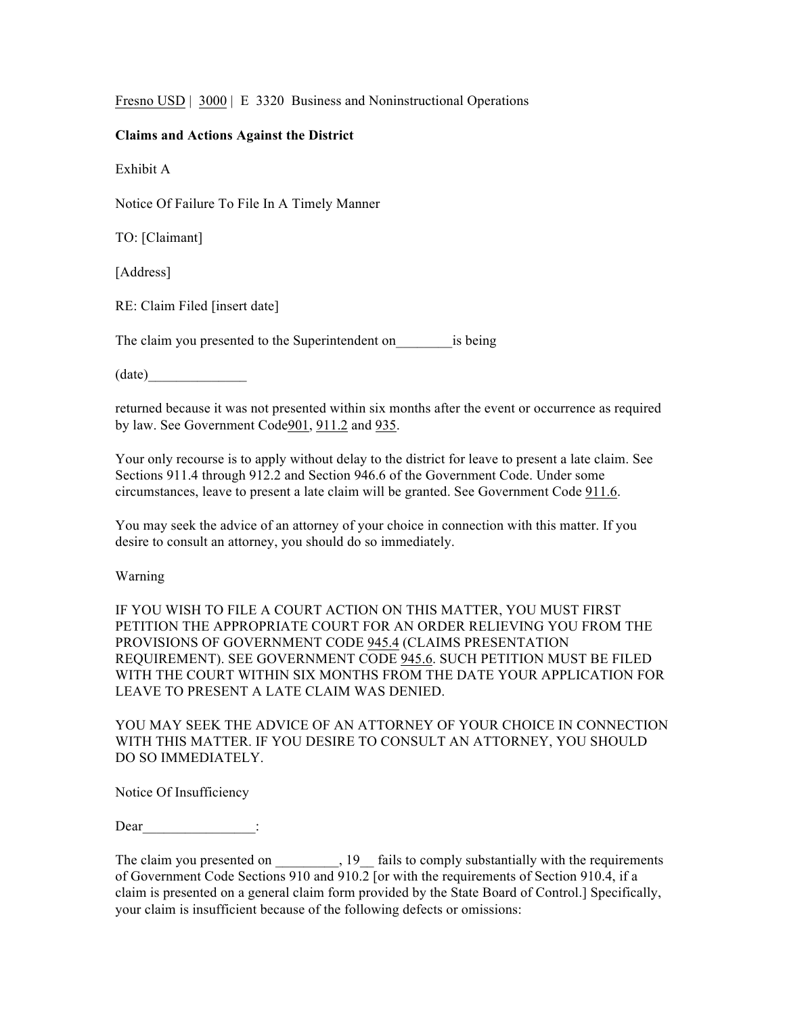Fresno USD | 3000 | E 3320 Business and Noninstructional Operations

## **Claims and Actions Against the District**

Exhibit A

Notice Of Failure To File In A Timely Manner

TO: [Claimant]

[Address]

RE: Claim Filed [insert date]

The claim you presented to the Superintendent on is being

 $(date)$ 

returned because it was not presented within six months after the event or occurrence as required by law. See Government Code901, 911.2 and 935.

Your only recourse is to apply without delay to the district for leave to present a late claim. See Sections 911.4 through 912.2 and Section 946.6 of the Government Code. Under some circumstances, leave to present a late claim will be granted. See Government Code 911.6.

You may seek the advice of an attorney of your choice in connection with this matter. If you desire to consult an attorney, you should do so immediately.

Warning

IF YOU WISH TO FILE A COURT ACTION ON THIS MATTER, YOU MUST FIRST PETITION THE APPROPRIATE COURT FOR AN ORDER RELIEVING YOU FROM THE PROVISIONS OF GOVERNMENT CODE 945.4 (CLAIMS PRESENTATION REQUIREMENT). SEE GOVERNMENT CODE 945.6. SUCH PETITION MUST BE FILED WITH THE COURT WITHIN SIX MONTHS FROM THE DATE YOUR APPLICATION FOR LEAVE TO PRESENT A LATE CLAIM WAS DENIED.

YOU MAY SEEK THE ADVICE OF AN ATTORNEY OF YOUR CHOICE IN CONNECTION WITH THIS MATTER. IF YOU DESIRE TO CONSULT AN ATTORNEY, YOU SHOULD DO SO IMMEDIATELY.

Notice Of Insufficiency

Dear :

The claim you presented on \_\_\_\_\_\_\_\_, 19\_\_ fails to comply substantially with the requirements of Government Code Sections 910 and 910.2 [or with the requirements of Section 910.4, if a claim is presented on a general claim form provided by the State Board of Control.] Specifically, your claim is insufficient because of the following defects or omissions: